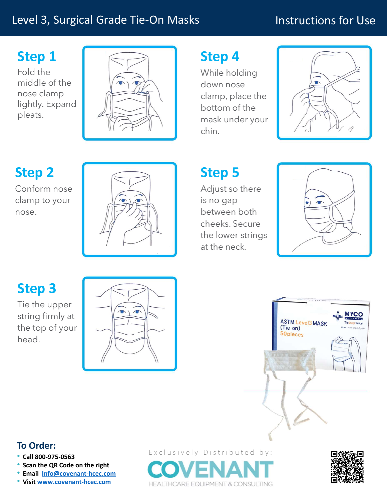### Level 3, Surgical Grade Tie-On Masks

### Instructions for Use

## Step 1

Fold the middle of the nose clamp lightly. Expand pleats.



# Step 2

Conform nose clamp to your nose.



## Step 4

While holding down nose clamp, place the bottom of the mask under your chin.



# Step 5

Adjust so there is no gap between both cheeks. Secure the lower strings at the neck.



### Step 3

Tie the upper string firmly at the top of your head.





### To Order:

- 
- 
- Scan the QR Code on the right<br>• Email Info@covenant-hcec.com
- 

• Call 800-975-0563